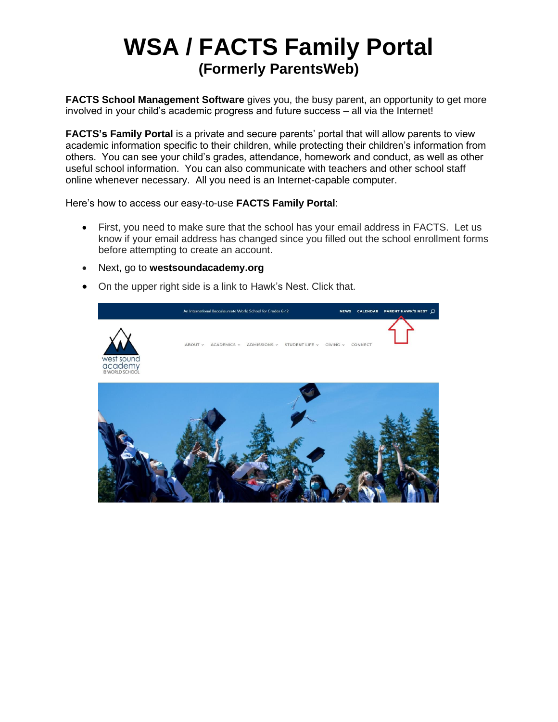## **WSA / FACTS Family Portal (Formerly ParentsWeb)**

**FACTS School Management Software** gives you, the busy parent, an opportunity to get more involved in your child's academic progress and future success – all via the Internet!

**FACTS's Family Portal** is a private and secure parents' portal that will allow parents to view academic information specific to their children, while protecting their children's information from others. You can see your child's grades, attendance, homework and conduct, as well as other useful school information. You can also communicate with teachers and other school staff online whenever necessary. All you need is an Internet-capable computer.

Here's how to access our easy-to-use **FACTS Family Portal**:

- First, you need to make sure that the school has your email address in FACTS. Let us know if your email address has changed since you filled out the school enrollment forms before attempting to create an account.
- Next, go to **westsoundacademy.org**
- On the upper right side is a link to Hawk's Nest. Click that.

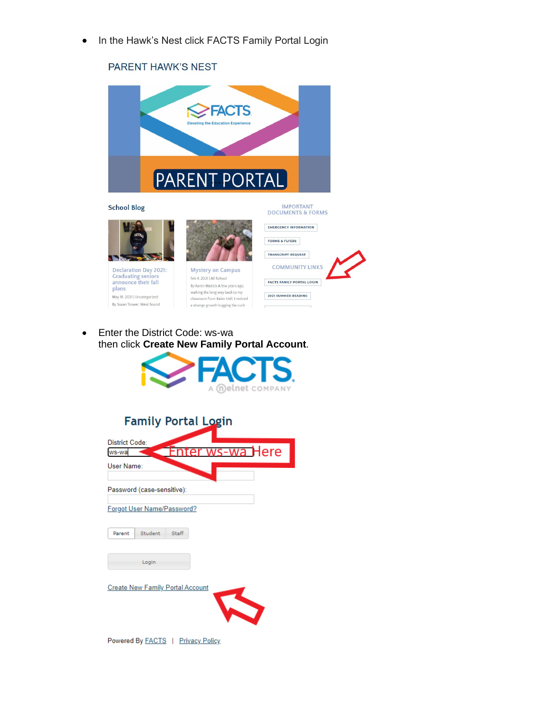• In the Hawk's Nest click FACTS Family Portal Login

## PARENT HAWK'S NEST



**School Blog** 



Declaration Day 2021: Craduation Buy 2016<br>Graduating seniors<br>announce their fall<br>plans May 18, 2021 | Uncategorized By Susan Trower. West Sound



Feb 4, 2021 | All School By Karen Mattick. A few years ago, walking the long way back to my<br>classroom from Baker Hall, I noticed a strange growth hugging the curb



• Enter the District Code: ws-wa then click **Create New Family Portal Account**.



| <b>Family Portal Login</b>                |  |  |  |  |  |  |
|-------------------------------------------|--|--|--|--|--|--|
| <b>District Code:</b><br>wa Here<br>ws-wa |  |  |  |  |  |  |
| User Name:                                |  |  |  |  |  |  |
| Password (case-sensitive):                |  |  |  |  |  |  |
| Forgot User Name/Password?                |  |  |  |  |  |  |
| Student<br>Staff<br>Parent                |  |  |  |  |  |  |
| Login                                     |  |  |  |  |  |  |
| <b>Create New Family Portal Account</b>   |  |  |  |  |  |  |

Powered By FACTS | Privacy Policy